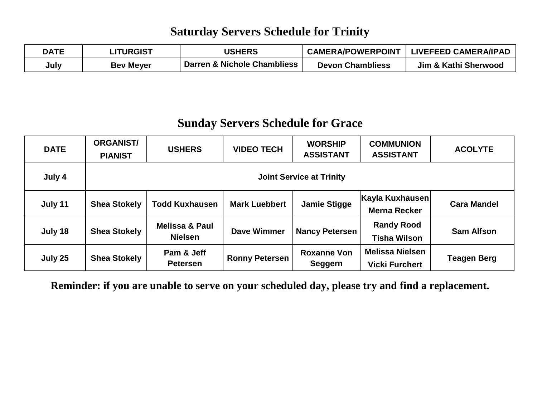#### **Saturday Servers Schedule for Trinity**

| <b>DATE</b> | <b>LITURGIST</b> | <b>USHERS</b>               | <b>CAMERA/POWERPOINT</b> | <b>LIVEFEED CAMERA/IPAD</b> |
|-------------|------------------|-----------------------------|--------------------------|-----------------------------|
| July        | <b>Bev Meyer</b> | Darren & Nichole Chambliess | <b>Devon Chambliess</b>  | Jim & Kathi Sherwood        |

### **Sunday Servers Schedule for Grace**

| <b>DATE</b> | <b>ORGANIST/</b><br><b>PIANIST</b> | <b>USHERS</b>                               | <b>VIDEO TECH</b>     | <b>WORSHIP</b><br><b>ASSISTANT</b> | <b>COMMUNION</b><br><b>ASSISTANT</b>            | <b>ACOLYTE</b>     |  |
|-------------|------------------------------------|---------------------------------------------|-----------------------|------------------------------------|-------------------------------------------------|--------------------|--|
| July 4      | <b>Joint Service at Trinity</b>    |                                             |                       |                                    |                                                 |                    |  |
| July 11     | <b>Shea Stokely</b>                | <b>Todd Kuxhausen</b>                       | <b>Mark Luebbert</b>  | <b>Jamie Stigge</b>                | Kayla Kuxhausen<br><b>Merna Recker</b>          | <b>Cara Mandel</b> |  |
| July 18     | <b>Shea Stokely</b>                | <b>Melissa &amp; Paul</b><br><b>Nielsen</b> | <b>Dave Wimmer</b>    | <b>Nancy Petersen</b>              | <b>Randy Rood</b><br><b>Tisha Wilson</b>        | <b>Sam Alfson</b>  |  |
| July 25     | <b>Shea Stokely</b>                | Pam & Jeff<br><b>Petersen</b>               | <b>Ronny Petersen</b> | <b>Roxanne Von</b><br>Seggern      | <b>Melissa Nielsen</b><br><b>Vicki Furchert</b> | <b>Teagen Berg</b> |  |

**Reminder: if you are unable to serve on your scheduled day, please try and find a replacement.**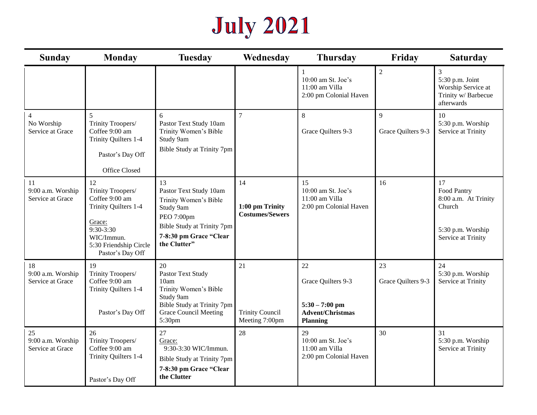# **July 2021**

| <b>Sunday</b>                                    | <b>Monday</b>                                                                                                                                        | <b>Tuesday</b>                                                                                                                                           | Wednesday                                       | <b>Thursday</b>                                                                            | Friday                   | <b>Saturday</b>                                                                                |
|--------------------------------------------------|------------------------------------------------------------------------------------------------------------------------------------------------------|----------------------------------------------------------------------------------------------------------------------------------------------------------|-------------------------------------------------|--------------------------------------------------------------------------------------------|--------------------------|------------------------------------------------------------------------------------------------|
|                                                  |                                                                                                                                                      |                                                                                                                                                          |                                                 | 10:00 am St. Joe's<br>11:00 am Villa<br>2:00 pm Colonial Haven                             | $\overline{2}$           | $\mathfrak{Z}$<br>5:30 p.m. Joint<br>Worship Service at<br>Trinity w/ Barbecue<br>afterwards   |
| $\overline{4}$<br>No Worship<br>Service at Grace | 5<br>Trinity Troopers/<br>Coffee 9:00 am<br>Trinity Quilters 1-4<br>Pastor's Day Off<br>Office Closed                                                | 6<br>Pastor Text Study 10am<br>Trinity Women's Bible<br>Study 9am<br>Bible Study at Trinity 7pm                                                          | $\tau$                                          | 8<br>Grace Quilters 9-3                                                                    | 9<br>Grace Quilters 9-3  | 10<br>5:30 p.m. Worship<br>Service at Trinity                                                  |
| 11<br>9:00 a.m. Worship<br>Service at Grace      | 12<br>Trinity Troopers/<br>Coffee 9:00 am<br>Trinity Quilters 1-4<br>Grace:<br>9:30-3:30<br>WIC/Immun.<br>5:30 Friendship Circle<br>Pastor's Day Off | 13<br>Pastor Text Study 10am<br>Trinity Women's Bible<br>Study 9am<br>PEO 7:00pm<br>Bible Study at Trinity 7pm<br>7-8:30 pm Grace "Clear<br>the Clutter" | 14<br>1:00 pm Trinity<br><b>Costumes/Sewers</b> | 15<br>10:00 am St. Joe's<br>11:00 am Villa<br>2:00 pm Colonial Haven                       | 16                       | 17<br>Food Pantry<br>8:00 a.m. At Trinity<br>Church<br>5:30 p.m. Worship<br>Service at Trinity |
| 18<br>9:00 a.m. Worship<br>Service at Grace      | 19<br>Trinity Troopers/<br>Coffee 9:00 am<br>Trinity Quilters 1-4<br>Pastor's Day Off                                                                | 20<br>Pastor Text Study<br>10am<br>Trinity Women's Bible<br>Study 9am<br>Bible Study at Trinity 7pm<br><b>Grace Council Meeting</b><br>5:30pm            | 21<br><b>Trinity Council</b><br>Meeting 7:00pm  | 22<br>Grace Quilters 9-3<br>$5:30 - 7:00$ pm<br><b>Advent/Christmas</b><br><b>Planning</b> | 23<br>Grace Quilters 9-3 | 24<br>5:30 p.m. Worship<br>Service at Trinity                                                  |
| 25<br>9:00 a.m. Worship<br>Service at Grace      | 26<br>Trinity Troopers/<br>Coffee 9:00 am<br>Trinity Quilters 1-4<br>Pastor's Day Off                                                                | 27<br>Grace:<br>9:30-3:30 WIC/Immun.<br>Bible Study at Trinity 7pm<br>7-8:30 pm Grace "Clear<br>the Clutter                                              | 28                                              | 29<br>$10:00$ am St. Joe's<br>11:00 am Villa<br>2:00 pm Colonial Haven                     | 30                       | 31<br>5:30 p.m. Worship<br>Service at Trinity                                                  |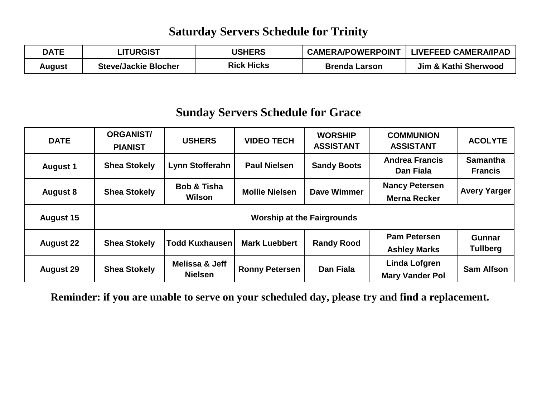#### **Saturday Servers Schedule for Trinity**

| <b>DATE</b> | <b>_ITURGIST</b>            | <b>USHERS</b> | <b>CAMERA/POWERPOINT</b> | <b>LIVEFEED CAMERA/IPAD</b> |
|-------------|-----------------------------|---------------|--------------------------|-----------------------------|
| August      | <b>Steve/Jackie Blocher</b> | Rick Hicks    | <b>Brenda Larson</b>     | Jim & Kathi Sherwood        |

#### **Sunday Servers Schedule for Grace**

| <b>DATE</b>      | <b>ORGANIST/</b><br><b>PIANIST</b> | <b>USHERS</b>                    | <b>VIDEO TECH</b>     | <b>WORSHIP</b><br><b>ASSISTANT</b> | <b>COMMUNION</b><br><b>ASSISTANT</b>           | <b>ACOLYTE</b>                    |  |
|------------------|------------------------------------|----------------------------------|-----------------------|------------------------------------|------------------------------------------------|-----------------------------------|--|
| <b>August 1</b>  | <b>Shea Stokely</b>                | Lynn Stofferahn                  | <b>Paul Nielsen</b>   | <b>Sandy Boots</b>                 | <b>Andrea Francis</b><br>Dan Fiala             | <b>Samantha</b><br><b>Francis</b> |  |
| <b>August 8</b>  | <b>Shea Stokely</b>                | <b>Bob &amp; Tisha</b><br>Wilson | <b>Mollie Nielsen</b> | Dave Wimmer                        | <b>Nancy Petersen</b><br><b>Merna Recker</b>   | <b>Avery Yarger</b>               |  |
| <b>August 15</b> | <b>Worship at the Fairgrounds</b>  |                                  |                       |                                    |                                                |                                   |  |
| <b>August 22</b> | <b>Shea Stokely</b>                | Todd Kuxhausen                   | <b>Mark Luebbert</b>  | <b>Randy Rood</b>                  | <b>Pam Petersen</b><br><b>Ashley Marks</b>     | <b>Gunnar</b><br><b>Tullberg</b>  |  |
| <b>August 29</b> | <b>Shea Stokely</b>                | Melissa & Jeff<br><b>Nielsen</b> | <b>Ronny Petersen</b> | Dan Fiala                          | <b>Linda Lofgren</b><br><b>Mary Vander Pol</b> | <b>Sam Alfson</b>                 |  |

**Reminder: if you are unable to serve on your scheduled day, please try and find a replacement.**